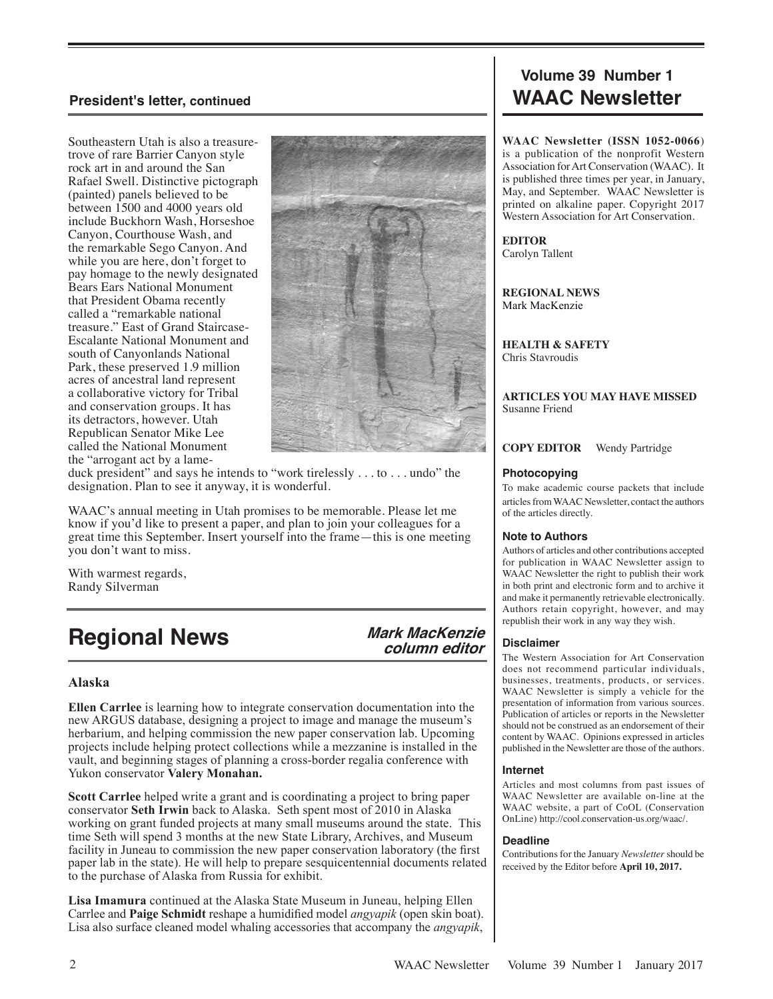Southeastern Utah is also a treasuretrove of rare Barrier Canyon style rock art in and around the San Rafael Swell. Distinctive pictograph (painted) panels believed to be between 1500 and 4000 years old include Buckhorn Wash, Horseshoe Canyon, Courthouse Wash, and the remarkable Sego Canyon. And while you are here, don't forget to pay homage to the newly designated Bears Ears National Monument that President Obama recently called a "remarkable national treasure." East of Grand Staircase-Escalante National Monument and south of Canyonlands National Park, these preserved 1.9 million acres of ancestral land represent a collaborative victory for Tribal and conservation groups. It has its detractors, however. Utah Republican Senator Mike Lee called the National Monument the "arrogant act by a lame-



duck president" and says he intends to "work tirelessly . . . to . . . undo" the designation. Plan to see it anyway, it is wonderful.

WAAC's annual meeting in Utah promises to be memorable. Please let me know if you'd like to present a paper, and plan to join your colleagues for a great time this September. Insert yourself into the frame—this is one meeting you don't want to miss.

With warmest regards, Randy Silverman

# **Regional News**

 **Mark MacKenzie column editor**

# **Alaska**

**Ellen Carrlee** is learning how to integrate conservation documentation into the new ARGUS database, designing a project to image and manage the museum's herbarium, and helping commission the new paper conservation lab. Upcoming projects include helping protect collections while a mezzanine is installed in the vault, and beginning stages of planning a cross-border regalia conference with Yukon conservator **Valery Monahan.**

**Scott Carrlee** helped write a grant and is coordinating a project to bring paper conservator **Seth Irwin** back to Alaska. Seth spent most of 2010 in Alaska working on grant funded projects at many small museums around the state. This time Seth will spend 3 months at the new State Library, Archives, and Museum facility in Juneau to commission the new paper conservation laboratory (the first paper lab in the state). He will help to prepare sesquicentennial documents related to the purchase of Alaska from Russia for exhibit.

**Lisa Imamura** continued at the Alaska State Museum in Juneau, helping Ellen Carrlee and **Paige Schmidt** reshape a humidified model *angyapik* (open skin boat). Lisa also surface cleaned model whaling accessories that accompany the *angyapik*,

# **Volume 39 Number 1 President's letter, continued WAAC Newsletter**

**WAAC Newsletter (ISSN 1052-0066**) is a publication of the nonprofit Western Association for Art Conservation (WAAC). It is published three times per year, in January, May, and September. WAAC Newsletter is printed on alkaline paper. Copyright 2017 Western Association for Art Conservation.

**EDITOR** Carolyn Tallent

**REGIONAL NEWS** Mark MacKenzie

**HEALTH & SAFETY** Chris Stavroudis

**ARTICLES YOU MAY HAVE MISSED** Susanne Friend

**COPY EDITOR** Wendy Partridge

#### **Photocopying**

To make academic course packets that include articles from WAAC Newsletter, contact the authors of the articles directly.

#### **Note to Authors**

Authors of articles and other contributions accepted for publication in WAAC Newsletter assign to WAAC Newsletter the right to publish their work in both print and electronic form and to archive it and make it permanently retrievable electronically. Authors retain copyright, however, and may republish their work in any way they wish.

#### **Disclaimer**

The Western Association for Art Conservation does not recommend particular individuals, businesses, treatments, products, or services. WAAC Newsletter is simply a vehicle for the presentation of information from various sources. Publication of articles or reports in the Newsletter should not be construed as an endorsement of their content by WAAC. Opinions expressed in articles published in the Newsletter are those of the authors.

#### **Internet**

Articles and most columns from past issues of WAAC Newsletter are available on-line at the WAAC website, a part of CoOL (Conservation OnLine) http://cool.conservation-us.org/waac/.

#### **Deadline**

Contributions for the January *Newsletter* should be received by the Editor before **April 10, 2017.**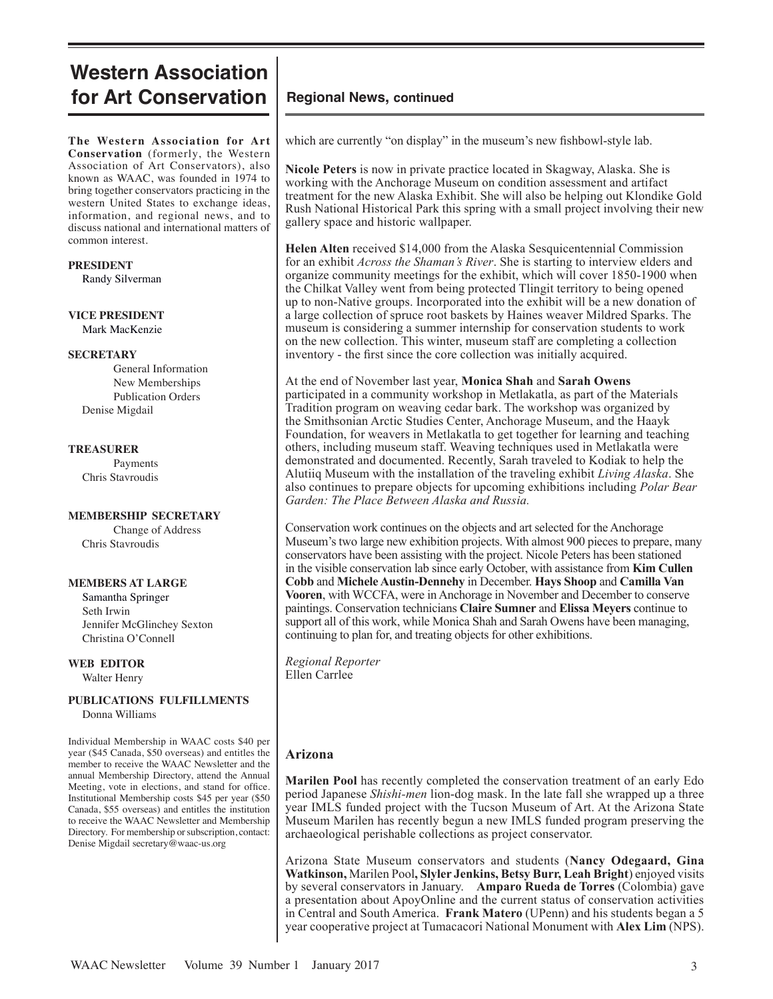# **Western Association for Art Conservation**

**The Western Association for Art Conservation** (formerly, the Western Association of Art Conservators), also known as WAAC, was founded in 1974 to bring together conservators practicing in the western United States to exchange ideas, information, and regional news, and to discuss national and international matters of common interest.

#### **PRESIDENT**

Randy Silverman

#### **VICE PRESIDENT** Mark MacKenzie

#### **SECRETARY**

General Information New Memberships Publication Orders Denise Migdail

#### **TREASURER**

Payments Chris Stavroudis

#### **MEMBERSHIP SECRETARY**

Change of Address Chris Stavroudis

### **MEMBERS AT LARGE**

 Samantha Springer Seth Irwin Jennifer McGlinchey Sexton Christina O'Connell

**WEB EDITOR** Walter Henry

#### **PUBLICATIONS FULFILLMENTS** Donna Williams

Individual Membership in WAAC costs \$40 per year (\$45 Canada, \$50 overseas) and entitles the member to receive the WAAC Newsletter and the annual Membership Directory, attend the Annual Meeting, vote in elections, and stand for office. Institutional Membership costs \$45 per year (\$50 Canada, \$55 overseas) and entitles the institution to receive the WAAC Newsletter and Membership Directory. For membership or subscription, contact: Denise Migdail secretary@waac-us.org

# **Regional News, continued**

which are currently "on display" in the museum's new fishbowl-style lab.

**Nicole Peters** is now in private practice located in Skagway, Alaska. She is working with the Anchorage Museum on condition assessment and artifact treatment for the new Alaska Exhibit. She will also be helping out Klondike Gold Rush National Historical Park this spring with a small project involving their new gallery space and historic wallpaper.

**Helen Alten** received \$14,000 from the Alaska Sesquicentennial Commission for an exhibit *Across the Shaman's River*. She is starting to interview elders and organize community meetings for the exhibit, which will cover 1850-1900 when the Chilkat Valley went from being protected Tlingit territory to being opened up to non-Native groups. Incorporated into the exhibit will be a new donation of a large collection of spruce root baskets by Haines weaver Mildred Sparks. The museum is considering a summer internship for conservation students to work on the new collection. This winter, museum staff are completing a collection inventory - the first since the core collection was initially acquired.

At the end of November last year, **Monica Shah** and **Sarah Owens** participated in a community workshop in Metlakatla, as part of the Materials Tradition program on weaving cedar bark. The workshop was organized by the Smithsonian Arctic Studies Center, Anchorage Museum, and the Haayk Foundation, for weavers in Metlakatla to get together for learning and teaching others, including museum staff. Weaving techniques used in Metlakatla were demonstrated and documented. Recently, Sarah traveled to Kodiak to help the Alutiiq Museum with the installation of the traveling exhibit *Living Alaska*. She also continues to prepare objects for upcoming exhibitions including *Polar Bear Garden: The Place Between Alaska and Russia.*

Conservation work continues on the objects and art selected for the Anchorage Museum's two large new exhibition projects. With almost 900 pieces to prepare, many conservators have been assisting with the project. Nicole Peters has been stationed in the visible conservation lab since early October, with assistance from **Kim Cullen Cobb** and **Michele Austin-Dennehy** in December. **Hays Shoop** and **Camilla Van Vooren**, with WCCFA, were in Anchorage in November and December to conserve paintings. Conservation technicians **Claire Sumner** and **Elissa Meyers** continue to support all of this work, while Monica Shah and Sarah Owens have been managing, continuing to plan for, and treating objects for other exhibitions.

*Regional Reporter* Ellen Carrlee

# **Arizona**

**Marilen Pool** has recently completed the conservation treatment of an early Edo period Japanese *Shishi-men* lion-dog mask. In the late fall she wrapped up a three year IMLS funded project with the Tucson Museum of Art. At the Arizona State Museum Marilen has recently begun a new IMLS funded program preserving the archaeological perishable collections as project conservator.

Arizona State Museum conservators and students (**Nancy Odegaard, Gina Watkinson,** Marilen Pool**, Slyler Jenkins, Betsy Burr, Leah Bright**) enjoyed visits by several conservators in January. **Amparo Rueda de Torres** (Colombia) gave a presentation about ApoyOnline and the current status of conservation activities in Central and South America. **Frank Matero** (UPenn) and his students began a 5 year cooperative project at Tumacacori National Monument with **Alex Lim** (NPS).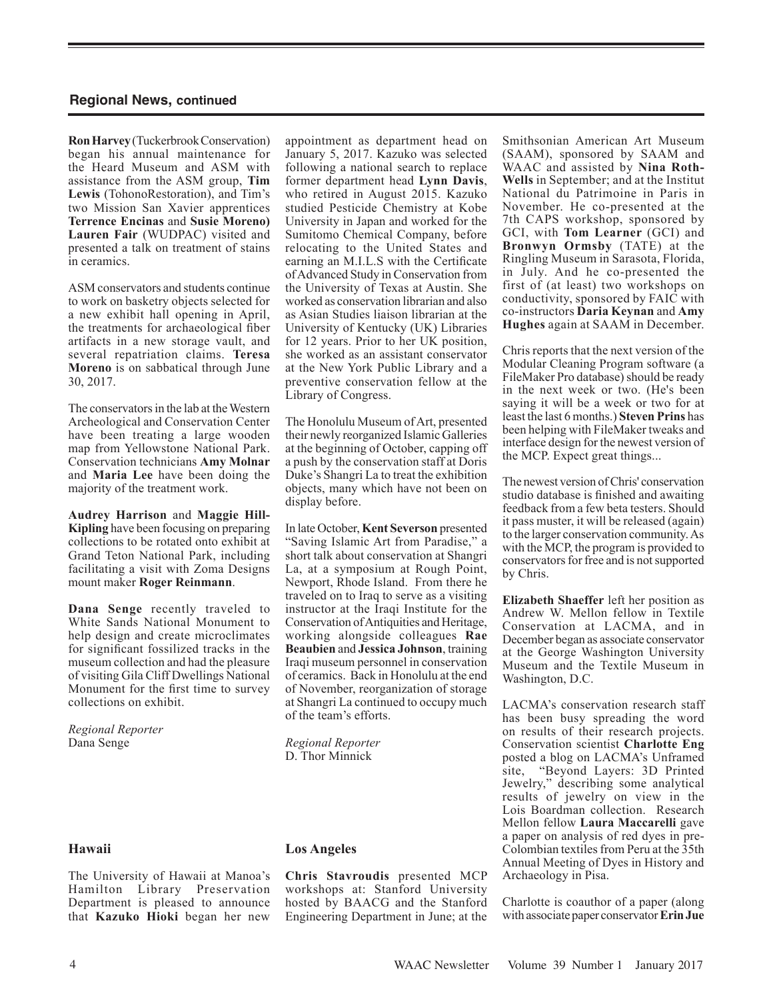**Ron Harvey** (Tuckerbrook Conservation) began his annual maintenance for the Heard Museum and ASM with assistance from the ASM group, **Tim Lewis** (TohonoRestoration), and Tim's two Mission San Xavier apprentices **Terrence Encinas** and **Susie Moreno) Lauren Fair** (WUDPAC) visited and presented a talk on treatment of stains in ceramics.

ASM conservators and students continue to work on basketry objects selected for a new exhibit hall opening in April, the treatments for archaeological fiber artifacts in a new storage vault, and several repatriation claims. **Teresa Moreno** is on sabbatical through June 30, 2017.

The conservators in the lab at the Western Archeological and Conservation Center have been treating a large wooden map from Yellowstone National Park. Conservation technicians **Amy Molnar** and **Maria Lee** have been doing the majority of the treatment work.

**Audrey Harrison** and **Maggie Hill-Kipling** have been focusing on preparing collections to be rotated onto exhibit at Grand Teton National Park, including facilitating a visit with Zoma Designs mount maker **Roger Reinmann**.

**Dana Senge** recently traveled to White Sands National Monument to help design and create microclimates for significant fossilized tracks in the museum collection and had the pleasure of visiting Gila Cliff Dwellings National Monument for the first time to survey collections on exhibit.

*Regional Reporter* Dana Senge

#### **Hawaii**

The University of Hawaii at Manoa's Hamilton Library Preservation Department is pleased to announce that **Kazuko Hioki** began her new

appointment as department head on January 5, 2017. Kazuko was selected following a national search to replace former department head **Lynn Davis**, who retired in August 2015. Kazuko studied Pesticide Chemistry at Kobe University in Japan and worked for the Sumitomo Chemical Company, before relocating to the United States and earning an M.I.L.S with the Certificate of Advanced Study in Conservation from the University of Texas at Austin. She worked as conservation librarian and also as Asian Studies liaison librarian at the University of Kentucky (UK) Libraries for 12 years. Prior to her UK position, she worked as an assistant conservator at the New York Public Library and a preventive conservation fellow at the Library of Congress.

The Honolulu Museum of Art, presented their newly reorganized Islamic Galleries at the beginning of October, capping off a push by the conservation staff at Doris Duke's Shangri La to treat the exhibition objects, many which have not been on display before.

In late October,**Kent Severson** presented "Saving Islamic Art from Paradise," a short talk about conservation at Shangri La, at a symposium at Rough Point, Newport, Rhode Island. From there he traveled on to Iraq to serve as a visiting instructor at the Iraqi Institute for the Conservation of Antiquities and Heritage, working alongside colleagues **Rae Beaubien** and **Jessica Johnson**, training Iraqi museum personnel in conservation of ceramics. Back in Honolulu at the end of November, reorganization of storage at Shangri La continued to occupy much of the team's efforts.

*Regional Reporter* D. Thor Minnick

#### **Los Angeles**

**Chris Stavroudis** presented MCP workshops at: Stanford University hosted by BAACG and the Stanford Engineering Department in June; at the Smithsonian American Art Museum (SAAM), sponsored by SAAM and WAAC and assisted by **Nina Roth-Wells** in September; and at the Institut National du Patrimoine in Paris in November. He co-presented at the 7th CAPS workshop, sponsored by GCI, with **Tom Learner** (GCI) and **Bronwyn Ormsby** (TATE) at the Ringling Museum in Sarasota, Florida, in July. And he co-presented the first of (at least) two workshops on conductivity, sponsored by FAIC with co-instructors **Daria Keynan** and **Amy Hughes** again at SAAM in December.

Chris reports that the next version of the Modular Cleaning Program software (a FileMaker Pro database) should be ready in the next week or two. (He's been saying it will be a week or two for at least the last 6 months.) **Steven Prins** has been helping with FileMaker tweaks and interface design for the newest version of the MCP. Expect great things...

The newest version of Chris' conservation studio database is finished and awaiting feedback from a few beta testers. Should it pass muster, it will be released (again) to the larger conservation community. As with the MCP, the program is provided to conservators for free and is not supported by Chris.

**Elizabeth Shaeffer** left her position as Andrew W. Mellon fellow in Textile Conservation at LACMA, and in December began as associate conservator at the George Washington University Museum and the Textile Museum in Washington, D.C.

LACMA's conservation research staff has been busy spreading the word on results of their research projects. Conservation scientist **Charlotte Eng** posted a blog on LACMA's Unframed site, "Beyond Layers: 3D Printed Jewelry," describing some analytical results of jewelry on view in the Lois Boardman collection. Research Mellon fellow **Laura Maccarelli** gave a paper on analysis of red dyes in pre-Colombian textiles from Peru at the 35th Annual Meeting of Dyes in History and Archaeology in Pisa.

Charlotte is coauthor of a paper (along with associate paper conservator **Erin Jue**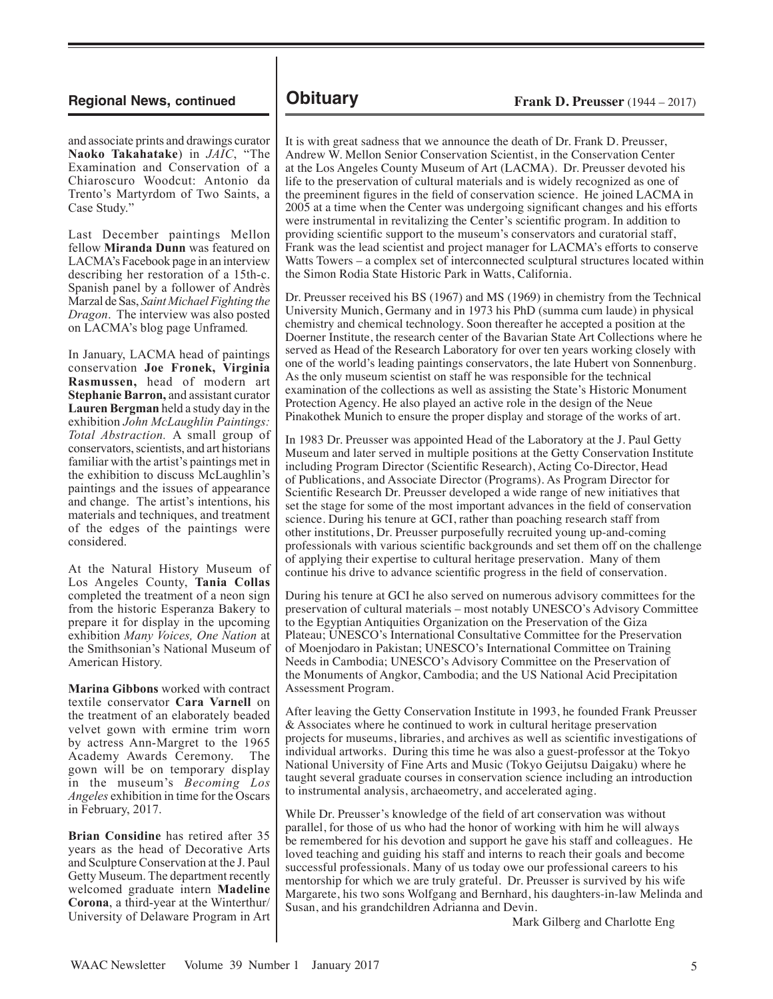and associate prints and drawings curator **Naoko Takahatake**) in *JAIC*, "The Examination and Conservation of a Chiaroscuro Woodcut: Antonio da Trento's Martyrdom of Two Saints, a Case Study."

Last December paintings Mellon fellow **Miranda Dunn** was featured on LACMA's Facebook page in an interview describing her restoration of a 15th-c. Spanish panel by a follower of Andrès Marzal de Sas, *Saint Michael Fighting the Dragon*. The interview was also posted on LACMA's blog page Unframed*.*

In January, LACMA head of paintings conservation **Joe Fronek, Virginia Rasmussen,** head of modern art **Stephanie Barron,** and assistant curator **Lauren Bergman** held a study day in the exhibition *John McLaughlin Paintings: Total Abstraction.* A small group of conservators, scientists, and art historians familiar with the artist's paintings met in the exhibition to discuss McLaughlin's paintings and the issues of appearance and change. The artist's intentions, his materials and techniques, and treatment of the edges of the paintings were considered.

At the Natural History Museum of Los Angeles County, **Tania Collas** completed the treatment of a neon sign from the historic Esperanza Bakery to prepare it for display in the upcoming exhibition *Many Voices, One Nation* at the Smithsonian's National Museum of American History.

**Marina Gibbons** worked with contract textile conservator **Cara Varnell** on the treatment of an elaborately beaded velvet gown with ermine trim worn by actress Ann-Margret to the 1965 Academy Awards Ceremony. The gown will be on temporary display in the museum's *Becoming Los Angeles* exhibition in time for the Oscars in February, 2017.

**Brian Considine** has retired after 35 years as the head of Decorative Arts and Sculpture Conservation at the J. Paul Getty Museum. The department recently welcomed graduate intern **Madeline Corona**, a third-year at the Winterthur/ University of Delaware Program in Art

It is with great sadness that we announce the death of Dr. Frank D. Preusser, Andrew W. Mellon Senior Conservation Scientist, in the Conservation Center at the Los Angeles County Museum of Art (LACMA). Dr. Preusser devoted his life to the preservation of cultural materials and is widely recognized as one of the preeminent figures in the field of conservation science. He joined LACMA in 2005 at a time when the Center was undergoing significant changes and his efforts were instrumental in revitalizing the Center's scientific program. In addition to providing scientific support to the museum's conservators and curatorial staff, Frank was the lead scientist and project manager for LACMA's efforts to conserve Watts Towers – a complex set of interconnected sculptural structures located within the Simon Rodia State Historic Park in Watts, California.

Dr. Preusser received his BS (1967) and MS (1969) in chemistry from the Technical University Munich, Germany and in 1973 his PhD (summa cum laude) in physical chemistry and chemical technology. Soon thereafter he accepted a position at the Doerner Institute, the research center of the Bavarian State Art Collections where he served as Head of the Research Laboratory for over ten years working closely with one of the world's leading paintings conservators, the late Hubert von Sonnenburg. As the only museum scientist on staff he was responsible for the technical examination of the collections as well as assisting the State's Historic Monument Protection Agency. He also played an active role in the design of the Neue Pinakothek Munich to ensure the proper display and storage of the works of art.

In 1983 Dr. Preusser was appointed Head of the Laboratory at the J. Paul Getty Museum and later served in multiple positions at the Getty Conservation Institute including Program Director (Scientific Research), Acting Co-Director, Head of Publications, and Associate Director (Programs). As Program Director for Scientific Research Dr. Preusser developed a wide range of new initiatives that set the stage for some of the most important advances in the field of conservation science. During his tenure at GCI, rather than poaching research staff from other institutions, Dr. Preusser purposefully recruited young up-and-coming professionals with various scientific backgrounds and set them off on the challenge of applying their expertise to cultural heritage preservation. Many of them continue his drive to advance scientific progress in the field of conservation.

During his tenure at GCI he also served on numerous advisory committees for the preservation of cultural materials – most notably UNESCO's Advisory Committee to the Egyptian Antiquities Organization on the Preservation of the Giza Plateau; UNESCO's International Consultative Committee for the Preservation of Moenjodaro in Pakistan; UNESCO's International Committee on Training Needs in Cambodia; UNESCO's Advisory Committee on the Preservation of the Monuments of Angkor, Cambodia; and the US National Acid Precipitation Assessment Program.

After leaving the Getty Conservation Institute in 1993, he founded Frank Preusser & Associates where he continued to work in cultural heritage preservation projects for museums, libraries, and archives as well as scientific investigations of individual artworks. During this time he was also a guest-professor at the Tokyo National University of Fine Arts and Music (Tokyo Geijutsu Daigaku) where he taught several graduate courses in conservation science including an introduction to instrumental analysis, archaeometry, and accelerated aging.

While Dr. Preusser's knowledge of the field of art conservation was without parallel, for those of us who had the honor of working with him he will always be remembered for his devotion and support he gave his staff and colleagues. He loved teaching and guiding his staff and interns to reach their goals and become successful professionals. Many of us today owe our professional careers to his mentorship for which we are truly grateful. Dr. Preusser is survived by his wife Margarete, his two sons Wolfgang and Bernhard, his daughters-in-law Melinda and Susan, and his grandchildren Adrianna and Devin.

Mark Gilberg and Charlotte Eng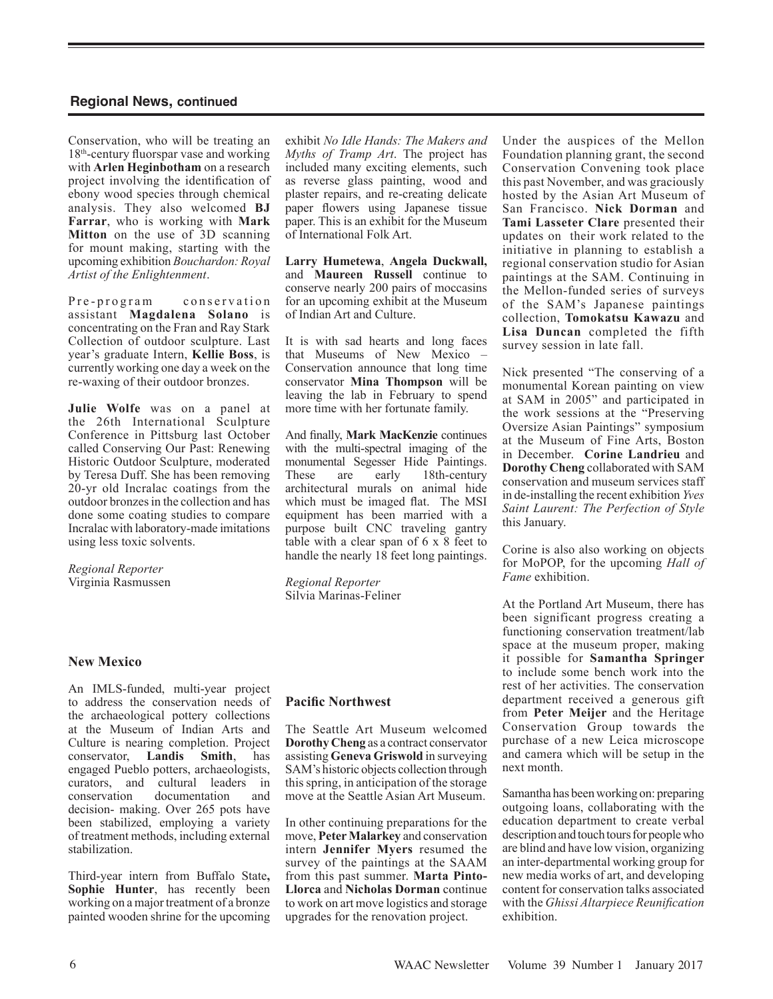Conservation, who will be treating an 18th-century fluorspar vase and working with **Arlen Heginbotham** on a research project involving the identification of ebony wood species through chemical analysis. They also welcomed **BJ Farrar**, who is working with **Mark Mitton** on the use of 3D scanning for mount making, starting with the upcoming exhibition *Bouchardon: Royal Artist of the Enlightenment*.

Pre-program conservation assistant **Magdalena Solano** is concentrating on the Fran and Ray Stark Collection of outdoor sculpture. Last year's graduate Intern, **Kellie Boss**, is currently working one day a week on the re-waxing of their outdoor bronzes.

**Julie Wolfe** was on a panel at the 26th International Sculpture Conference in Pittsburg last October called Conserving Our Past: Renewing Historic Outdoor Sculpture, moderated by Teresa Duff. She has been removing 20-yr old Incralac coatings from the outdoor bronzes in the collection and has done some coating studies to compare Incralac with laboratory-made imitations using less toxic solvents.

*Regional Reporter* Virginia Rasmussen

## **New Mexico**

An IMLS-funded, multi-year project to address the conservation needs of the archaeological pottery collections at the Museum of Indian Arts and Culture is nearing completion. Project conservator, **Landis Smith**, has engaged Pueblo potters, archaeologists, curators, and cultural leaders in conservation documentation and decision- making. Over 265 pots have been stabilized, employing a variety of treatment methods, including external stabilization.

Third-year intern from Buffalo State**, Sophie Hunter**, has recently been working on a major treatment of a bronze painted wooden shrine for the upcoming

exhibit *No Idle Hands: The Makers and Myths of Tramp Art*. The project has included many exciting elements, such as reverse glass painting, wood and plaster repairs, and re-creating delicate paper flowers using Japanese tissue paper. This is an exhibit for the Museum of International Folk Art.

**Larry Humetewa**, **Angela Duckwall,** and **Maureen Russell** continue to conserve nearly 200 pairs of moccasins for an upcoming exhibit at the Museum of Indian Art and Culture.

It is with sad hearts and long faces that Museums of New Mexico – Conservation announce that long time conservator **Mina Thompson** will be leaving the lab in February to spend more time with her fortunate family.

And finally, **Mark MacKenzie** continues with the multi-spectral imaging of the monumental Segesser Hide Paintings. These are early 18th-century architectural murals on animal hide which must be imaged flat. The MSI equipment has been married with a purpose built CNC traveling gantry table with a clear span of 6 x 8 feet to handle the nearly 18 feet long paintings.

*Regional Reporter* Silvia Marinas-Feliner

## **Pacific Northwest**

The Seattle Art Museum welcomed **Dorothy Cheng** as a contract conservator assisting **Geneva Griswold** in surveying SAM's historic objects collection through this spring, in anticipation of the storage move at the Seattle Asian Art Museum.

In other continuing preparations for the move, **Peter Malarkey** and conservation intern **Jennifer Myers** resumed the survey of the paintings at the SAAM from this past summer. **Marta Pinto-Llorca** and **Nicholas Dorman** continue to work on art move logistics and storage upgrades for the renovation project.

Under the auspices of the Mellon Foundation planning grant, the second Conservation Convening took place this past November, and was graciously hosted by the Asian Art Museum of San Francisco. **Nick Dorman** and **Tami Lasseter Clare** presented their updates on their work related to the initiative in planning to establish a regional conservation studio for Asian paintings at the SAM. Continuing in the Mellon-funded series of surveys of the SAM's Japanese paintings collection, **Tomokatsu Kawazu** and **Lisa Duncan** completed the fifth survey session in late fall.

Nick presented "The conserving of a monumental Korean painting on view at SAM in 2005" and participated in the work sessions at the "Preserving Oversize Asian Paintings" symposium at the Museum of Fine Arts, Boston in December. **Corine Landrieu** and **Dorothy Cheng** collaborated with SAM conservation and museum services staff in de-installing the recent exhibition *Yves Saint Laurent: The Perfection of Style*  this January.

Corine is also also working on objects for MoPOP, for the upcoming *Hall of Fame* exhibition.

At the Portland Art Museum, there has been significant progress creating a functioning conservation treatment/lab space at the museum proper, making it possible for **Samantha Springer**  to include some bench work into the rest of her activities. The conservation department received a generous gift from **Peter Meijer** and the Heritage Conservation Group towards the purchase of a new Leica microscope and camera which will be setup in the next month.

Samantha has been working on: preparing outgoing loans, collaborating with the education department to create verbal description and touch tours for people who are blind and have low vision, organizing an inter-departmental working group for new media works of art, and developing content for conservation talks associated with the *Ghissi Altarpiece Reunification*  exhibition.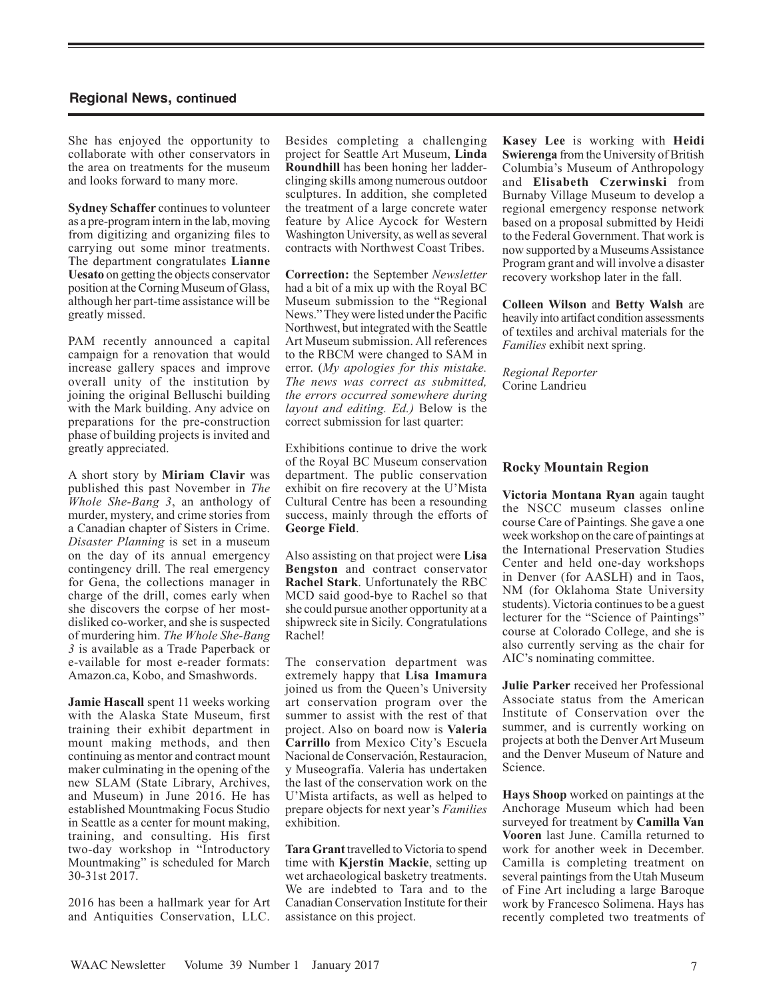She has enjoyed the opportunity to collaborate with other conservators in the area on treatments for the museum and looks forward to many more.

**Sydney Schaffer** continues to volunteer as a pre-program intern in the lab, moving from digitizing and organizing files to carrying out some minor treatments. The department congratulates **Lianne Uesato** on getting the objects conservator position at the Corning Museum of Glass, although her part-time assistance will be greatly missed.

PAM recently announced a capital campaign for a renovation that would increase gallery spaces and improve overall unity of the institution by joining the original Belluschi building with the Mark building. Any advice on preparations for the pre-construction phase of building projects is invited and greatly appreciated.

A short story by **Miriam Clavir** was published this past November in *The Whole She-Bang 3*, an anthology of murder, mystery, and crime stories from a Canadian chapter of Sisters in Crime. *Disaster Planning* is set in a museum on the day of its annual emergency contingency drill. The real emergency for Gena, the collections manager in charge of the drill, comes early when she discovers the corpse of her mostdisliked co-worker, and she is suspected of murdering him. *The Whole She-Bang 3* is available as a Trade Paperback or e-vailable for most e-reader formats: Amazon.ca, Kobo, and Smashwords.

**Jamie Hascall** spent 11 weeks working with the Alaska State Museum, first training their exhibit department in mount making methods, and then continuing as mentor and contract mount maker culminating in the opening of the new SLAM (State Library, Archives, and Museum) in June 2016. He has established Mountmaking Focus Studio in Seattle as a center for mount making, training, and consulting. His first two-day workshop in "Introductory Mountmaking" is scheduled for March 30-31st 2017.

2016 has been a hallmark year for Art and Antiquities Conservation, LLC.

Besides completing a challenging project for Seattle Art Museum, **Linda Roundhill** has been honing her ladderclinging skills among numerous outdoor sculptures. In addition, she completed the treatment of a large concrete water feature by Alice Aycock for Western Washington University, as well as several contracts with Northwest Coast Tribes.

**Correction:** the September *Newsletter*  had a bit of a mix up with the Royal BC Museum submission to the "Regional News." They were listed under the Pacific Northwest, but integrated with the Seattle Art Museum submission. All references to the RBCM were changed to SAM in error. (*My apologies for this mistake. The news was correct as submitted, the errors occurred somewhere during layout and editing. Ed.)* Below is the correct submission for last quarter:

Exhibitions continue to drive the work of the Royal BC Museum conservation department. The public conservation exhibit on fire recovery at the U'Mista Cultural Centre has been a resounding success, mainly through the efforts of **George Field**.

Also assisting on that project were **Lisa Bengston** and contract conservator **Rachel Stark**. Unfortunately the RBC MCD said good-bye to Rachel so that she could pursue another opportunity at a shipwreck site in Sicily. Congratulations Rachel!

The conservation department was extremely happy that **Lisa Imamura**  joined us from the Queen's University art conservation program over the summer to assist with the rest of that project. Also on board now is **Valeria Carrillo** from Mexico City's Escuela Nacional de Conservación, Restauracion, y Museografía. Valeria has undertaken the last of the conservation work on the U'Mista artifacts, as well as helped to prepare objects for next year's *Families*  exhibition.

**Tara Grant** travelled to Victoria to spend time with **Kjerstin Mackie**, setting up wet archaeological basketry treatments. We are indebted to Tara and to the Canadian Conservation Institute for their assistance on this project.

**Kasey Lee** is working with **Heidi Swierenga** from the University of British Columbia's Museum of Anthropology and **Elisabeth Czerwinski** from Burnaby Village Museum to develop a regional emergency response network based on a proposal submitted by Heidi to the Federal Government. That work is now supported by a Museums Assistance Program grant and will involve a disaster recovery workshop later in the fall.

**Colleen Wilson** and **Betty Walsh** are heavily into artifact condition assessments of textiles and archival materials for the *Families* exhibit next spring.

*Regional Reporter*  Corine Landrieu

### **Rocky Mountain Region**

**Victoria Montana Ryan** again taught the NSCC museum classes online course Care of Paintings*.* She gave a one week workshop on the care of paintings at the International Preservation Studies Center and held one-day workshops in Denver (for AASLH) and in Taos, NM (for Oklahoma State University students). Victoria continues to be a guest lecturer for the "Science of Paintings" course at Colorado College, and she is also currently serving as the chair for AIC's nominating committee.

**Julie Parker** received her Professional Associate status from the American Institute of Conservation over the summer, and is currently working on projects at both the Denver Art Museum and the Denver Museum of Nature and Science.

**Hays Shoop** worked on paintings at the Anchorage Museum which had been surveyed for treatment by **Camilla Van Vooren** last June. Camilla returned to work for another week in December. Camilla is completing treatment on several paintings from the Utah Museum of Fine Art including a large Baroque work by Francesco Solimena. Hays has recently completed two treatments of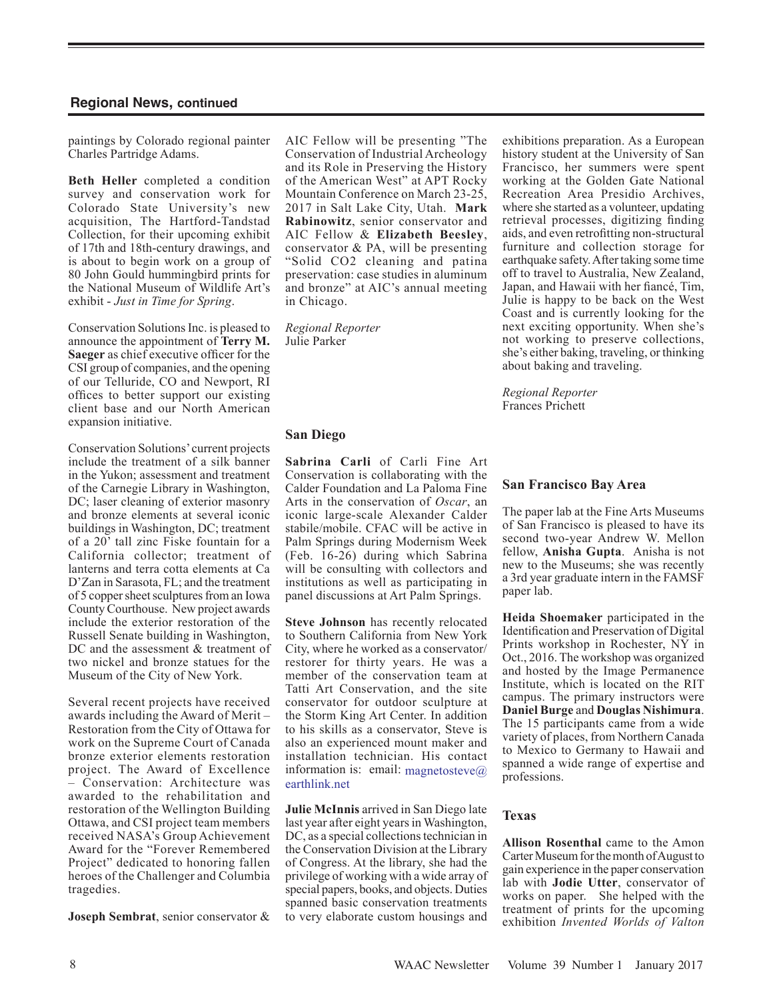paintings by Colorado regional painter Charles Partridge Adams.

**Beth Heller** completed a condition survey and conservation work for Colorado State University's new acquisition, The Hartford-Tandstad Collection, for their upcoming exhibit of 17th and 18th-century drawings, and is about to begin work on a group of 80 John Gould hummingbird prints for the National Museum of Wildlife Art's exhibit - *Just in Time for Spring*.

Conservation Solutions Inc. is pleased to announce the appointment of **Terry M. Saeger** as chief executive officer for the CSI group of companies, and the opening of our Telluride, CO and Newport, RI offices to better support our existing client base and our North American expansion initiative.

Conservation Solutions' current projects include the treatment of a silk banner in the Yukon; assessment and treatment of the Carnegie Library in Washington, DC; laser cleaning of exterior masonry and bronze elements at several iconic buildings in Washington, DC; treatment of a 20' tall zinc Fiske fountain for a California collector; treatment of lanterns and terra cotta elements at Ca D'Zan in Sarasota, FL; and the treatment of 5 copper sheet sculptures from an Iowa County Courthouse. New project awards include the exterior restoration of the Russell Senate building in Washington, DC and the assessment & treatment of two nickel and bronze statues for the Museum of the City of New York.

Several recent projects have received awards including the Award of Merit – Restoration from the City of Ottawa for work on the Supreme Court of Canada bronze exterior elements restoration project. The Award of Excellence – Conservation: Architecture was awarded to the rehabilitation and restoration of the Wellington Building Ottawa, and CSI project team members received NASA's Group Achievement Award for the "Forever Remembered Project" dedicated to honoring fallen heroes of the Challenger and Columbia tragedies.

**Joseph Sembrat**, senior conservator &

AIC Fellow will be presenting "The Conservation of Industrial Archeology and its Role in Preserving the History of the American West" at APT Rocky Mountain Conference on March 23-25, 2017 in Salt Lake City, Utah. **Mark Rabinowitz**, senior conservator and AIC Fellow & **Elizabeth Beesley**, conservator & PA, will be presenting "Solid CO2 cleaning and patina preservation: case studies in aluminum and bronze" at AIC's annual meeting in Chicago.

*Regional Reporter* Julie Parker

#### **San Diego**

**Sabrina Carli** of Carli Fine Art Conservation is collaborating with the Calder Foundation and La Paloma Fine Arts in the conservation of *Oscar*, an iconic large-scale Alexander Calder stabile/mobile. CFAC will be active in Palm Springs during Modernism Week (Feb. 16-26) during which Sabrina will be consulting with collectors and institutions as well as participating in panel discussions at Art Palm Springs.

**Steve Johnson** has recently relocated to Southern California from New York City, where he worked as a conservator/ restorer for thirty years. He was a member of the conservation team at Tatti Art Conservation, and the site conservator for outdoor sculpture at the Storm King Art Center. In addition to his skills as a conservator, Steve is also an experienced mount maker and installation technician. His contact information is: email: magnetosteve $\omega$ earthlink.net

**Julie McInnis** arrived in San Diego late last year after eight years in Washington, DC, as a special collections technician in the Conservation Division at the Library of Congress. At the library, she had the privilege of working with a wide array of special papers, books, and objects. Duties spanned basic conservation treatments to very elaborate custom housings and exhibitions preparation. As a European history student at the University of San Francisco, her summers were spent working at the Golden Gate National Recreation Area Presidio Archives, where she started as a volunteer, updating retrieval processes, digitizing finding aids, and even retrofitting non-structural furniture and collection storage for earthquake safety.After taking some time off to travel to Australia, New Zealand, Japan, and Hawaii with her fiancé, Tim, Julie is happy to be back on the West Coast and is currently looking for the next exciting opportunity. When she's not working to preserve collections, she's either baking, traveling, or thinking about baking and traveling.

*Regional Reporter* Frances Prichett

#### **San Francisco Bay Area**

The paper lab at the Fine Arts Museums of San Francisco is pleased to have its second two-year Andrew W. Mellon fellow, **Anisha Gupta**. Anisha is not new to the Museums; she was recently a 3rd year graduate intern in the FAMSF paper lab.

**Heida Shoemaker** participated in the Identification and Preservation of Digital Prints workshop in Rochester, NY in Oct., 2016. The workshop was organized and hosted by the Image Permanence Institute, which is located on the RIT campus. The primary instructors were **Daniel Burge** and **Douglas Nishimura**. The 15 participants came from a wide variety of places, from Northern Canada to Mexico to Germany to Hawaii and spanned a wide range of expertise and professions.

#### **Texas**

**Allison Rosenthal** came to the Amon Carter Museum for the month of August to gain experience in the paper conservation lab with **Jodie Utter**, conservator of works on paper. She helped with the treatment of prints for the upcoming exhibition *Invented Worlds of Valton*